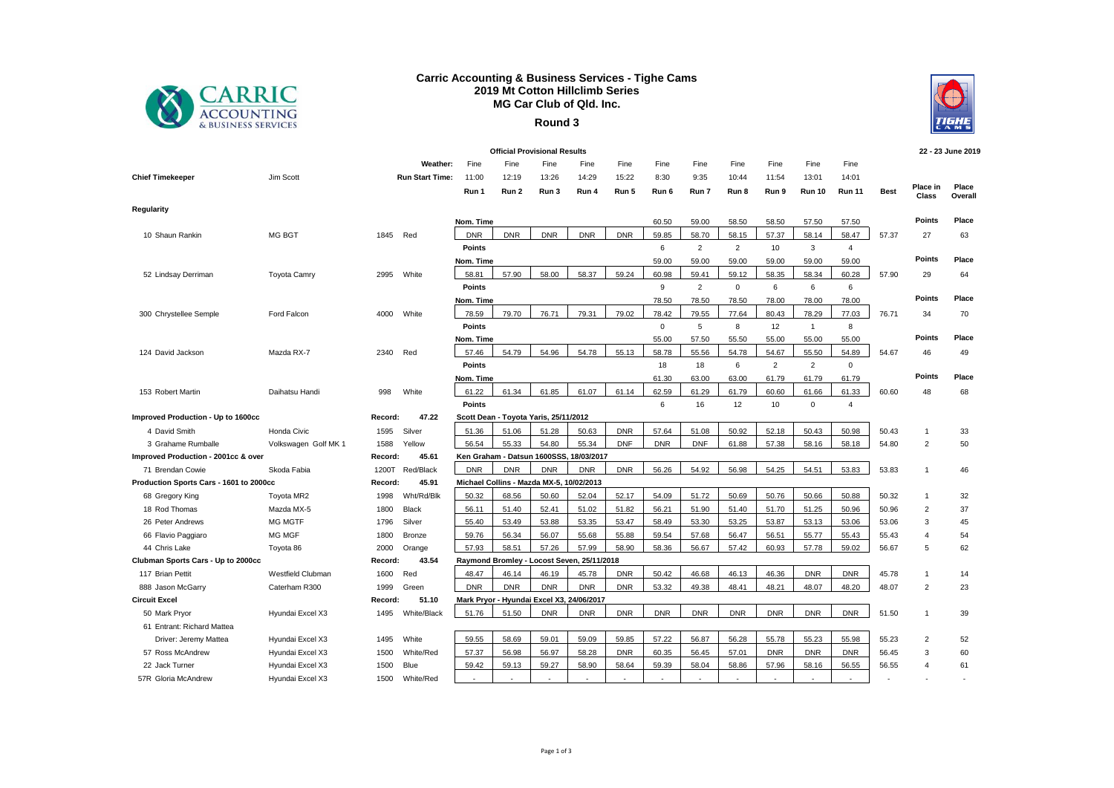

## **Carric Accounting & Business Services - Tighe Cams 2019 Mt Cotton Hillclimb Series MG Car Club of Qld. Inc.**





| <b>Official Provisional Results</b>           |                      |         |                        |               |            |                                            |                                           |            |              |                |                |                |               |                | 22 - 23 June 2019 |                          |                  |
|-----------------------------------------------|----------------------|---------|------------------------|---------------|------------|--------------------------------------------|-------------------------------------------|------------|--------------|----------------|----------------|----------------|---------------|----------------|-------------------|--------------------------|------------------|
|                                               |                      |         | Weather:               | Fine          | Fine       | Fine                                       | Fine                                      | Fine       | Fine         | Fine           | Fine           | Fine           | Fine          | Fine           |                   |                          |                  |
| <b>Chief Timekeeper</b>                       | Jim Scott            |         | <b>Run Start Time:</b> | 11:00         | 12:19      | 13:26                                      | 14:29                                     | 15:22      | 8:30         | 9:35           | 10:44          | 11:54          | 13:01         | 14:01          |                   |                          |                  |
|                                               |                      |         |                        | Run 1         | Run 2      | Run 3                                      | Run 4                                     | Run 5      | Run 6        | Run 7          | Run 8          | Run 9          | <b>Run 10</b> | <b>Run 11</b>  | <b>Best</b>       | Place in<br><b>Class</b> | Place<br>Overall |
| Regularity                                    |                      |         |                        |               |            |                                            |                                           |            |              |                |                |                |               |                |                   |                          |                  |
|                                               |                      |         |                        | Nom. Time     |            |                                            |                                           |            | 60.50        | 59.00          | 58.50          | 58.50          | 57.50         | 57.50          |                   | Points                   | Place            |
| 10 Shaun Rankin                               | MG BGT               | 1845    | Red                    | <b>DNR</b>    | <b>DNR</b> | <b>DNR</b>                                 | <b>DNR</b>                                | <b>DNR</b> | 59.85        | 58.70          | 58.15          | 57.37          | 58.14         | 58.47          | 57.37             | 27                       | 63               |
|                                               |                      |         |                        | <b>Points</b> |            |                                            |                                           |            | 6            | $\overline{2}$ | $\overline{2}$ | 10             | 3             | $\overline{4}$ |                   |                          |                  |
|                                               |                      |         |                        | Nom. Time     |            |                                            |                                           |            | 59.00        | 59.00          | 59.00          | 59.00          | 59.00         | 59.00          |                   | <b>Points</b>            | Place            |
| 52 Lindsay Derriman                           | <b>Toyota Camry</b>  | 2995    | White                  | 58.81         | 57.90      | 58.00                                      | 58.37                                     | 59.24      | 60.98        | 59.41          | 59.12          | 58.35          | 58.34         | 60.28          | 57.90             | 29                       | 64               |
|                                               |                      |         |                        | <b>Points</b> |            |                                            |                                           |            | 9            | $\overline{2}$ | $\mathbf 0$    | 6              | 6             | 6              |                   |                          |                  |
|                                               |                      |         |                        | Nom. Time     |            |                                            |                                           |            | 78.50        | 78.50          | 78.50          | 78.00          | 78.00         | 78.00          |                   | Points                   | Place            |
| 300 Chrystellee Semple                        | Ford Falcon          | 4000    | White                  | 78.59         | 79.70      | 76.71                                      | 79.31                                     | 79.02      | 78.42        | 79.55          | 77.64          | 80.43          | 78.29         | 77.03          | 76.71             | 34                       | 70               |
|                                               |                      |         |                        | Points        |            |                                            |                                           |            | $\mathbf{0}$ | 5              | 8              | 12             | $\mathbf{1}$  | 8              |                   |                          |                  |
|                                               |                      |         |                        | Nom. Time     |            |                                            |                                           |            | 55.00        | 57.50          | 55.50          | 55.00          | 55.00         | 55.00          |                   | <b>Points</b>            | Place            |
| 124 David Jackson                             | Mazda RX-7           | 2340    | Red                    | 57.46         | 54.79      | 54.96                                      | 54.78                                     | 55.13      | 58.78        | 55.56          | 54.78          | 54.67          | 55.50         | 54.89          | 54.67             | 46                       | 49               |
|                                               |                      |         |                        | <b>Points</b> |            |                                            |                                           |            | 18           | 18             | 6              | $\overline{2}$ | 2             | $\mathbf{0}$   |                   |                          |                  |
|                                               |                      |         |                        | Nom. Time     |            |                                            |                                           |            | 61.30        | 63.00          | 63.00          | 61.79          | 61.79         | 61.79          |                   | <b>Points</b>            | Place            |
| 153 Robert Martin                             | Daihatsu Handi       | 998     | White                  | 61.22         | 61.34      | 61.85                                      | 61.07                                     | 61.14      | 62.59        | 61.29          | 61.79          | 60.60          | 61.66         | 61.33          | 60.60             | 48                       | 68               |
|                                               |                      |         |                        | <b>Points</b> |            |                                            |                                           |            | 6            | 16             | 12             | 10             | $\mathbf 0$   | $\overline{4}$ |                   |                          |                  |
| Improved Production - Up to 1600cc            |                      | Record: | 47.22                  |               |            | Scott Dean - Toyota Yaris, 25/11/2012      |                                           |            |              |                |                |                |               |                |                   |                          |                  |
| 4 David Smith                                 | Honda Civic          | 1595    | Silver                 | 51.36         | 51.06      | 51.28                                      | 50.63                                     | <b>DNR</b> | 57.64        | 51.08          | 50.92          | 52.18          | 50.43         | 50.98          | 50.43             | $\mathbf{1}$             | 33               |
| 3 Grahame Rumballe                            | Volkswagen Golf MK 1 | 1588    | Yellow                 | 56.54         | 55.33      | 54.80                                      | 55.34                                     | <b>DNF</b> | <b>DNR</b>   | <b>DNF</b>     | 61.88          | 57.38          | 58.16         | 58.18          | 54.80             | $\overline{2}$           | 50               |
| Improved Production - 2001cc & over           |                      | Record: | 45.61                  |               |            |                                            | Ken Graham - Datsun 1600SSS, 18/03/2017   |            |              |                |                |                |               |                |                   |                          |                  |
| 71 Brendan Cowie                              | Skoda Fabia          | 1200T   | Red/Black              | <b>DNR</b>    | <b>DNR</b> | <b>DNR</b>                                 | <b>DNR</b>                                | <b>DNR</b> | 56.26        | 54.92          | 56.98          | 54.25          | 54.51         | 53.83          | 53.83             | $\overline{1}$           | 46               |
| Production Sports Cars - 1601 to 2000cc       |                      | Record: | 45.91                  |               |            | Michael Collins - Mazda MX-5, 10/02/2013   |                                           |            |              |                |                |                |               |                |                   |                          |                  |
| 68 Gregory King                               | Toyota MR2           | 1998    | Wht/Rd/Blk             | 50.32         | 68.56      | 50.60                                      | 52.04                                     | 52.17      | 54.09        | 51.72          | 50.69          | 50.76          | 50.66         | 50.88          | 50.32             | $\overline{1}$           | 32               |
| 18 Rod Thomas                                 | Mazda MX-5           | 1800    | Black                  | 56.11         | 51.40      | 52.41                                      | 51.02                                     | 51.82      | 56.21        | 51.90          | 51.40          | 51.70          | 51.25         | 50.96          | 50.96             | $\overline{2}$           | 37               |
| 26 Peter Andrews                              | MG MGTF              | 1796    | Silver                 | 55.40         | 53.49      | 53.88                                      | 53.35                                     | 53.47      | 58.49        | 53.30          | 53.25          | 53.87          | 53.13         | 53.06          | 53.06             | 3                        | 45               |
| 66 Flavio Paggiaro                            | MG MGF               | 1800    | Bronze                 | 59.76         | 56.34      | 56.07                                      | 55.68                                     | 55.88      | 59.54        | 57.68          | 56.47          | 56.51          | 55.77         | 55.43          | 55.43             | $\overline{4}$           | 54               |
| 44 Chris Lake                                 | Toyota 86            | 2000    | Orange                 | 57.93         | 58.51      | 57.26                                      | 57.99                                     | 58.90      | 58.36        | 56.67          | 57.42          | 60.93          | 57.78         | 59.02          | 56.67             | 5                        | 62               |
| Clubman Sports Cars - Up to 2000cc<br>Record: |                      | 43.54   |                        |               |            | Raymond Bromley - Locost Seven, 25/11/2018 |                                           |            |              |                |                |                |               |                |                   |                          |                  |
| 117 Brian Pettit                              | Westfield Clubman    | 1600    | Red                    | 48.47         | 46.14      | 46.19                                      | 45.78                                     | <b>DNR</b> | 50.42        | 46.68          | 46.13          | 46.36          | <b>DNR</b>    | <b>DNR</b>     | 45.78             | $\mathbf{1}$             | 14               |
| 888 Jason McGarry                             | Caterham R300        | 1999    | Green                  | <b>DNR</b>    | <b>DNR</b> | <b>DNR</b>                                 | <b>DNR</b>                                | <b>DNR</b> | 53.32        | 49.38          | 48.41          | 48.21          | 48.07         | 48.20          | 48.07             | $\overline{2}$           | 23               |
| <b>Circuit Excel</b>                          |                      | Record: | 51.10                  |               |            |                                            | Mark Pryor - Hyundai Excel X3, 24/06/2017 |            |              |                |                |                |               |                |                   |                          |                  |
| 50 Mark Pryor                                 | Hyundai Excel X3     | 1495    | White/Black            | 51.76         | 51.50      | <b>DNR</b>                                 | <b>DNR</b>                                | <b>DNR</b> | <b>DNR</b>   | <b>DNR</b>     | <b>DNR</b>     | <b>DNR</b>     | <b>DNR</b>    | <b>DNR</b>     | 51.50             | $\overline{1}$           | 39               |
| 61 Entrant: Richard Mattea                    |                      |         |                        |               |            |                                            |                                           |            |              |                |                |                |               |                |                   |                          |                  |
| Driver: Jeremy Mattea                         | Hyundai Excel X3     | 1495    | White                  | 59.55         | 58.69      | 59.01                                      | 59.09                                     | 59.85      | 57.22        | 56.87          | 56.28          | 55.78          | 55.23         | 55.98          | 55.23             | $\overline{2}$           | 52               |
| 57 Ross McAndrew                              | Hyundai Excel X3     | 1500    | White/Red              | 57.37         | 56.98      | 56.97                                      | 58.28                                     | <b>DNR</b> | 60.35        | 56.45          | 57.01          | <b>DNR</b>     | <b>DNR</b>    | <b>DNR</b>     | 56.45             | 3                        | 60               |
| 22 Jack Turner                                | Hyundai Excel X3     | 1500    | Blue                   | 59.42         | 59.13      | 59.27                                      | 58.90                                     | 58.64      | 59.39        | 58.04          | 58.86          | 57.96          | 58.16         | 56.55          | 56.55             | $\overline{4}$           | 61               |
| 57R Gloria McAndrew                           | Hyundai Excel X3     | 1500    | White/Red              |               |            |                                            |                                           |            |              |                |                |                |               |                |                   |                          |                  |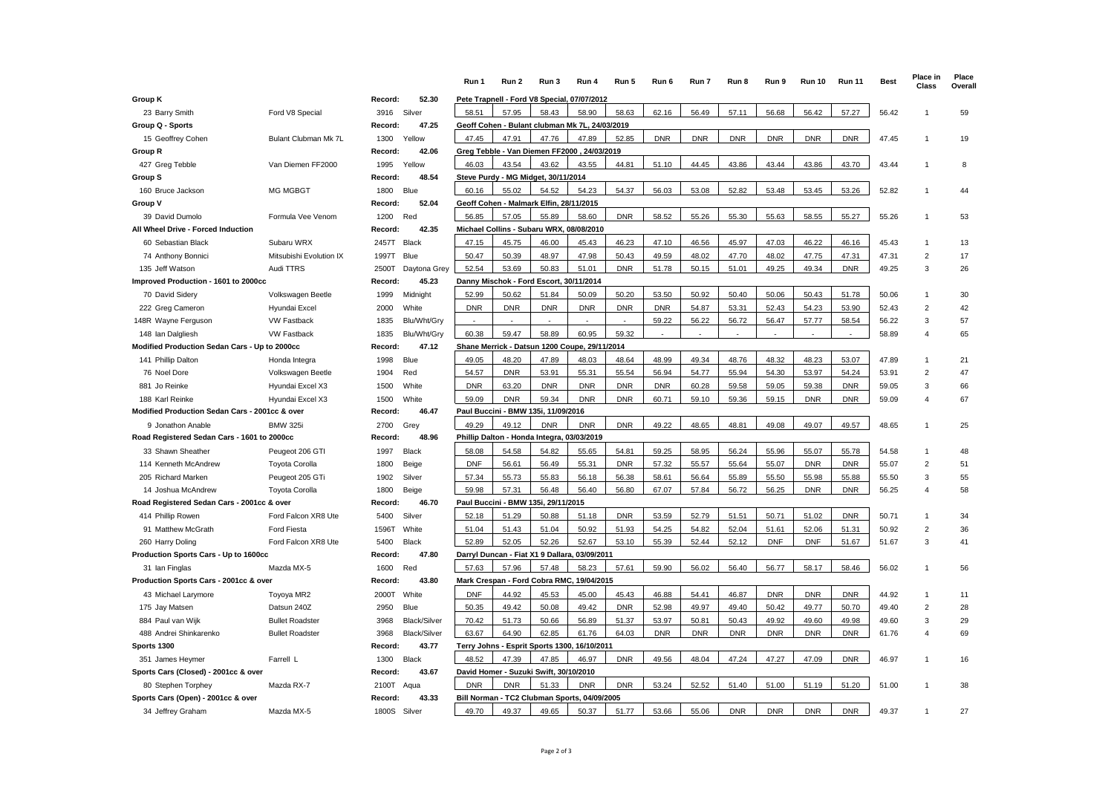|                                                 |                         |                             | Run 1      | Run 2                                          | Run 3      | Run 4      | Run 5      | Run 6      | Run 7      | Run 8      | Run 9      | <b>Run 10</b> | <b>Run 11</b> | <b>Best</b> | Place in<br>Class | Place<br>Overall |
|-------------------------------------------------|-------------------------|-----------------------------|------------|------------------------------------------------|------------|------------|------------|------------|------------|------------|------------|---------------|---------------|-------------|-------------------|------------------|
| <b>Group K</b>                                  |                         | Record:<br>52.30            |            | Pete Trapnell - Ford V8 Special, 07/07/2012    |            |            |            |            |            |            |            |               |               |             |                   |                  |
| 23 Barry Smith                                  | Ford V8 Special         | 3916<br>Silver              | 58.51      | 57.95                                          | 58.43      | 58.90      | 58.63      | 62.16      | 56.49      | 57.11      | 56.68      | 56.42         | 57.27         | 56.42       | $\overline{1}$    | 59               |
| Group Q - Sports                                |                         | 47.25<br>Record:            |            | Geoff Cohen - Bulant clubman Mk 7L, 24/03/2019 |            |            |            |            |            |            |            |               |               |             |                   |                  |
| 15 Geoffrey Cohen                               | Bulant Clubman Mk 7L    | Yellow<br>1300              | 47.45      | 47.91                                          | 47.76      | 47.89      | 52.85      | <b>DNR</b> | <b>DNR</b> | <b>DNR</b> | <b>DNR</b> | <b>DNR</b>    | <b>DNR</b>    | 47.45       | -1                | 19               |
| Group R                                         |                         | Record:<br>42.06            |            | Greg Tebble - Van Diemen FF2000, 24/03/2019    |            |            |            |            |            |            |            |               |               |             |                   |                  |
| 427 Greg Tebble                                 | Van Diemen FF2000       | 1995<br>Yellow              | 46.03      | 43.54                                          | 43.62      | 43.55      | 44.81      | 51.10      | 44.45      | 43.86      | 43.44      | 43.86         | 43.70         | 43.44       | $\overline{1}$    | 8                |
| Group S                                         |                         | 48.54<br>Record:            |            | Steve Purdy - MG Midget, 30/11/2014            |            |            |            |            |            |            |            |               |               |             |                   |                  |
| 160 Bruce Jackson                               | <b>MG MGBGT</b>         | Blue<br>1800                | 60.16      | 55.02                                          | 54.52      | 54.23      | 54.37      | 56.03      | 53.08      | 52.82      | 53.48      | 53.45         | 53.26         | 52.82       | 1                 | 44               |
| Group V                                         |                         | 52.04<br>Record:            |            | Geoff Cohen - Malmark Elfin, 28/11/2015        |            |            |            |            |            |            |            |               |               |             |                   |                  |
| 39 David Dumolo                                 | Formula Vee Venom       | Red<br>1200                 | 56.85      | 57.05                                          | 55.89      | 58.60      | <b>DNR</b> | 58.52      | 55.26      | 55.30      | 55.63      | 58.55         | 55.27         | 55.26       | $\overline{1}$    | 53               |
| All Wheel Drive - Forced Induction              |                         | Record:<br>42.35            |            | Michael Collins - Subaru WRX, 08/08/2010       |            |            |            |            |            |            |            |               |               |             |                   |                  |
| 60 Sebastian Black                              | Subaru WRX              | Black<br>2457T              | 47.15      | 45.75                                          | 46.00      | 45.43      | 46.23      | 47.10      | 46.56      | 45.97      | 47.03      | 46.22         | 46.16         | 45.43       | $\overline{1}$    | 13               |
| 74 Anthony Bonnici                              | Mitsubishi Evolution IX | Blue<br>1997T               | 50.47      | 50.39                                          | 48.97      | 47.98      | 50.43      | 49.59      | 48.02      | 47.70      | 48.02      | 47.75         | 47.31         | 47.31       | 2                 | 17               |
| 135 Jeff Watson                                 | Audi TTRS               | 2500T<br>Daytona Grey       | 52.54      | 53.69                                          | 50.83      | 51.01      | <b>DNR</b> | 51.78      | 50.15      | 51.01      | 49.25      | 49.34         | <b>DNR</b>    | 49.25       | 3                 | 26               |
| Improved Production - 1601 to 2000cc            |                         | 45.23<br>Record:            |            | Danny Mischok - Ford Escort, 30/11/2014        |            |            |            |            |            |            |            |               |               |             |                   |                  |
| 70 David Sidery                                 | Volkswagen Beetle       | 1999<br>Midnight            | 52.99      | 50.62                                          | 51.84      | 50.09      | 50.20      | 53.50      | 50.92      | 50.40      | 50.06      | 50.43         | 51.78         | 50.06       | $\overline{1}$    | 30               |
| 222 Greg Cameron                                | Hyundai Excel           | White<br>2000               | <b>DNR</b> | <b>DNR</b>                                     | <b>DNR</b> | <b>DNR</b> | <b>DNR</b> | <b>DNR</b> | 54.87      | 53.31      | 52.43      | 54.23         | 53.90         | 52.43       | $\overline{2}$    | 42               |
| 148R Wayne Ferguson                             | <b>VW Fastback</b>      | 1835<br>Blu/Wht/Gry         |            |                                                |            |            |            | 59.22      | 56.22      | 56.72      | 56.47      | 57.77         | 58.54         | 56.22       | 3                 | 57               |
| 148 Ian Dalgliesh                               | <b>VW Fastback</b>      | Blu/Wht/Gry<br>1835         | 60.38      | 59.47                                          | 58.89      | 60.95      | 59.32      |            |            |            |            |               |               | 58.89       | 4                 | 65               |
| Modified Production Sedan Cars - Up to 2000cc   |                         | Record:<br>47.12            |            | Shane Merrick - Datsun 1200 Coupe, 29/11/2014  |            |            |            |            |            |            |            |               |               |             |                   |                  |
| 141 Phillip Dalton                              | Honda Integra           | Blue<br>1998                | 49.05      | 48.20                                          | 47.89      | 48.03      | 48.64      | 48.99      | 49.34      | 48.76      | 48.32      | 48.23         | 53.07         | 47.89       | $\overline{1}$    | 21               |
| 76 Noel Dore                                    | Volkswagen Beetle       | 1904<br>Red                 | 54.57      | <b>DNR</b>                                     | 53.91      | 55.31      | 55.54      | 56.94      | 54.77      | 55.94      | 54.30      | 53.97         | 54.24         | 53.91       | $\overline{2}$    | 47               |
| 881 Jo Reinke                                   | Hyundai Excel X3        | 1500<br>White               | <b>DNR</b> | 63.20                                          | <b>DNR</b> | <b>DNR</b> | <b>DNR</b> | <b>DNR</b> | 60.28      | 59.58      | 59.05      | 59.38         | <b>DNR</b>    | 59.05       | 3                 | 66               |
| 188 Karl Reinke                                 | Hyundai Excel X3        | 1500<br>White               | 59.09      | <b>DNR</b>                                     | 59.34      | <b>DNR</b> | <b>DNR</b> | 60.71      | 59.10      | 59.36      | 59.15      | <b>DNR</b>    | <b>DNR</b>    | 59.09       | 4                 | 67               |
| Modified Production Sedan Cars - 2001cc & over  |                         | 46.47<br>Record:            |            | Paul Buccini - BMW 135i, 11/09/2016            |            |            |            |            |            |            |            |               |               |             |                   |                  |
| 9 Jonathon Anable                               | <b>BMW 325i</b>         | 2700<br>Grey                | 49.29      | 49.12                                          | <b>DNR</b> | <b>DNR</b> | <b>DNR</b> | 49.22      | 48.65      | 48.81      | 49.08      | 49.07         | 49.57         | 48.65       | 1                 | 25               |
| Road Registered Sedan Cars - 1601 to 2000cc     |                         | Record:<br>48.96            |            | Phillip Dalton - Honda Integra, 03/03/2019     |            |            |            |            |            |            |            |               |               |             |                   |                  |
| 33 Shawn Sheather                               | Peugeot 206 GTI         | 1997<br>Black               | 58.08      | 54.58                                          | 54.82      | 55.65      | 54.81      | 59.25      | 58.95      | 56.24      | 55.96      | 55.07         | 55.78         | 54.58       | $\overline{1}$    | 48               |
| 114 Kenneth McAndrew                            | <b>Toyota Corolla</b>   | 1800<br>Beige               | <b>DNF</b> | 56.61                                          | 56.49      | 55.31      | <b>DNR</b> | 57.32      | 55.57      | 55.64      | 55.07      | <b>DNR</b>    | <b>DNR</b>    | 55.07       | 2                 | 51               |
| 205 Richard Marken                              | Peugeot 205 GTi         | 1902<br>Silver              | 57.34      | 55.73                                          | 55.83      | 56.18      | 56.38      | 58.61      | 56.64      | 55.89      | 55.50      | 55.98         | 55.88         | 55.50       | 3                 | 55               |
| 14 Joshua McAndrew                              | <b>Toyota Corolla</b>   | 1800<br>Beige               | 59.98      | 57.31                                          | 56.48      | 56.40      | 56.80      | 67.07      | 57.84      | 56.72      | 56.25      | <b>DNR</b>    | <b>DNR</b>    | 56.25       | $\overline{4}$    | 58               |
| Road Registered Sedan Cars - 2001cc & over      |                         | 46.70<br>Record:            |            | Paul Buccini - BMW 135i, 29/11/2015            |            |            |            |            |            |            |            |               |               |             |                   |                  |
| 414 Phillip Rowen                               | Ford Falcon XR8 Ute     | 5400<br>Silver              | 52.18      | 51.29                                          | 50.88      | 51.18      | <b>DNR</b> | 53.59      | 52.79      | 51.51      | 50.71      | 51.02         | <b>DNR</b>    | 50.71       | $\overline{1}$    | 34               |
| 91 Matthew McGrath                              | <b>Ford Fiesta</b>      | White<br>1596T              | 51.04      | 51.43                                          | 51.04      | 50.92      | 51.93      | 54.25      | 54.82      | 52.04      | 51.61      | 52.06         | 51.31         | 50.92       | $\overline{2}$    | 36               |
| 260 Harry Doling                                | Ford Falcon XR8 Ute     | 5400<br>Black               | 52.89      | 52.05                                          | 52.26      | 52.67      | 53.10      | 55.39      | 52.44      | 52.12      | <b>DNF</b> | <b>DNF</b>    | 51.67         | 51.67       | 3                 | 41               |
| Production Sports Cars - Up to 1600cc           |                         | 47.80<br>Record:            |            | Darryl Duncan - Fiat X1 9 Dallara,             |            | 03/09/2011 |            |            |            |            |            |               |               |             |                   |                  |
| 31 Ian Finglas<br>Mazda MX-5                    |                         | 1600<br>Red                 | 57.63      | 57.96                                          | 57.48      | 58.23      | 57.61      | 59.90      | 56.02      | 56.40      | 56.77      | 58.17         | 58.46         | 56.02       | $\overline{1}$    | 56               |
| Production Sports Cars - 2001cc & over          |                         | 43.80<br>Record:            |            | Mark Crespan - Ford Cobra RMC, 19/04/2015      |            |            |            |            |            |            |            |               |               |             |                   |                  |
| 43 Michael Larymore                             | Toyoya MR2              | White<br>2000T              | <b>DNF</b> | 44.92                                          | 45.53      | 45.00      | 45.43      | 46.88      | 54.41      | 46.87      | <b>DNR</b> | <b>DNR</b>    | <b>DNR</b>    | 44.92       | $\overline{1}$    | 11               |
| 175 Jay Matsen                                  | Datsun 240Z             | 2950<br>Blue                | 50.35      | 49.42                                          | 50.08      | 49.42      | <b>DNR</b> | 52.98      | 49.97      | 49.40      | 50.42      | 49.77         | 50.70         | 49.40       | 2                 | 28               |
| 884 Paul van Wijk                               | <b>Bullet Roadster</b>  | Black/Silver<br>3968        | 70.42      | 51.73                                          | 50.66      | 56.89      | 51.37      | 53.97      | 50.81      | 50.43      | 49.92      | 49.60         | 49.98         | 49.60       | 3                 | 29               |
| 488 Andrei Shinkarenko                          | <b>Bullet Roadster</b>  | 3968<br><b>Black/Silver</b> | 63.67      | 64.90                                          | 62.85      | 61.76      | 64.03      | <b>DNR</b> | <b>DNR</b> | <b>DNR</b> | <b>DNR</b> | <b>DNR</b>    | <b>DNR</b>    | 61.76       | $\overline{4}$    | 69               |
| Sports 1300                                     |                         | 43.77<br>Record:            |            | Terry Johns - Esprit Sports 1300, 16/10/2011   |            |            |            |            |            |            |            |               |               |             |                   |                  |
| 351 James Heymer                                | Farrell L               | 1300<br>Black               | 48.52      | 47.39                                          | 47.85      | 46.97      | <b>DNR</b> | 49.56      | 48.04      | 47.24      | 47.27      | 47.09         | <b>DNR</b>    | 46.97       | 1                 | 16               |
| Sports Cars (Closed) - 2001cc & over<br>Record: |                         | 43.67                       |            | David Homer - Suzuki Swift, 30/10/2010         |            |            |            |            |            |            |            |               |               |             |                   |                  |
| 80 Stephen Torphey                              | Mazda RX-7              | 2100T<br>Aqua               | <b>DNR</b> | <b>DNR</b>                                     | 51.33      | <b>DNR</b> | <b>DNR</b> | 53.24      | 52.52      | 51.40      | 51.00      | 51.19         | 51.20         | 51.00       | 1                 | 38               |
| Sports Cars (Open) - 2001cc & over              |                         | Record:<br>43.33            |            | Bill Norman - TC2 Clubman Sports, 04/09/2005   |            |            |            |            |            |            |            |               |               |             |                   |                  |
| 34 Jeffrey Graham                               | Mazda MX-5              | 1800S<br>Silver             | 49.70      | 49.37                                          | 49.65      | 50.37      | 51.77      | 53.66      | 55.06      | <b>DNR</b> | <b>DNR</b> | <b>DNR</b>    | <b>DNR</b>    | 49.37       |                   | 27               |